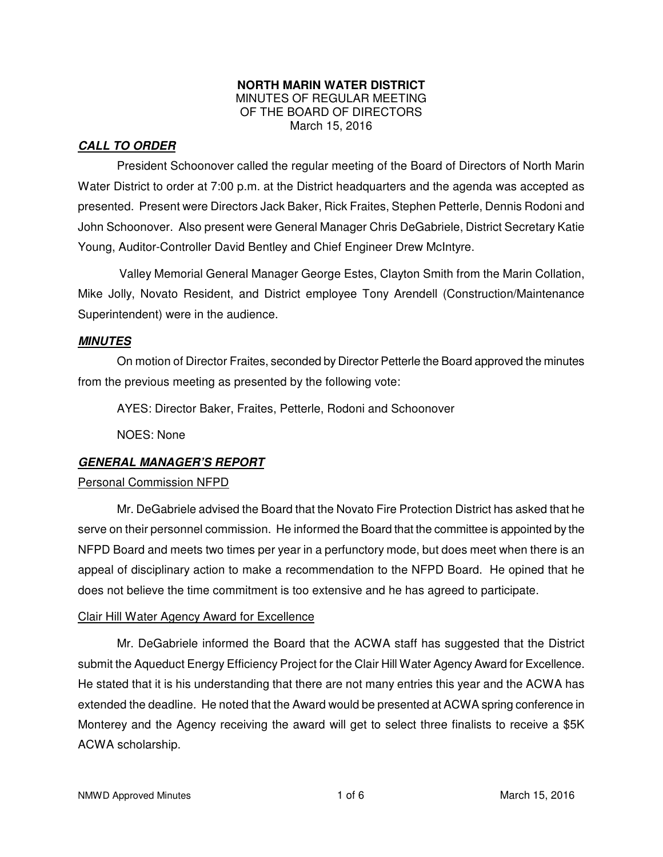### **NORTH MARIN WATER DISTRICT**  MINUTES OF REGULAR MEETING OF THE BOARD OF DIRECTORS March 15, 2016

## **CALL TO ORDER**

President Schoonover called the regular meeting of the Board of Directors of North Marin Water District to order at 7:00 p.m. at the District headquarters and the agenda was accepted as presented. Present were Directors Jack Baker, Rick Fraites, Stephen Petterle, Dennis Rodoni and John Schoonover. Also present were General Manager Chris DeGabriele, District Secretary Katie Young, Auditor-Controller David Bentley and Chief Engineer Drew McIntyre.

Valley Memorial General Manager George Estes, Clayton Smith from the Marin Collation, Mike Jolly, Novato Resident, and District employee Tony Arendell (Construction/Maintenance Superintendent) were in the audience.

### **MINUTES**

 On motion of Director Fraites, seconded by Director Petterle the Board approved the minutes from the previous meeting as presented by the following vote:

AYES: Director Baker, Fraites, Petterle, Rodoni and Schoonover

NOES: None

# **GENERAL MANAGER'S REPORT**

# Personal Commission NFPD

 Mr. DeGabriele advised the Board that the Novato Fire Protection District has asked that he serve on their personnel commission. He informed the Board that the committee is appointed by the NFPD Board and meets two times per year in a perfunctory mode, but does meet when there is an appeal of disciplinary action to make a recommendation to the NFPD Board. He opined that he does not believe the time commitment is too extensive and he has agreed to participate.

### Clair Hill Water Agency Award for Excellence

 Mr. DeGabriele informed the Board that the ACWA staff has suggested that the District submit the Aqueduct Energy Efficiency Project for the Clair Hill Water Agency Award for Excellence. He stated that it is his understanding that there are not many entries this year and the ACWA has extended the deadline. He noted that the Award would be presented at ACWA spring conference in Monterey and the Agency receiving the award will get to select three finalists to receive a \$5K ACWA scholarship.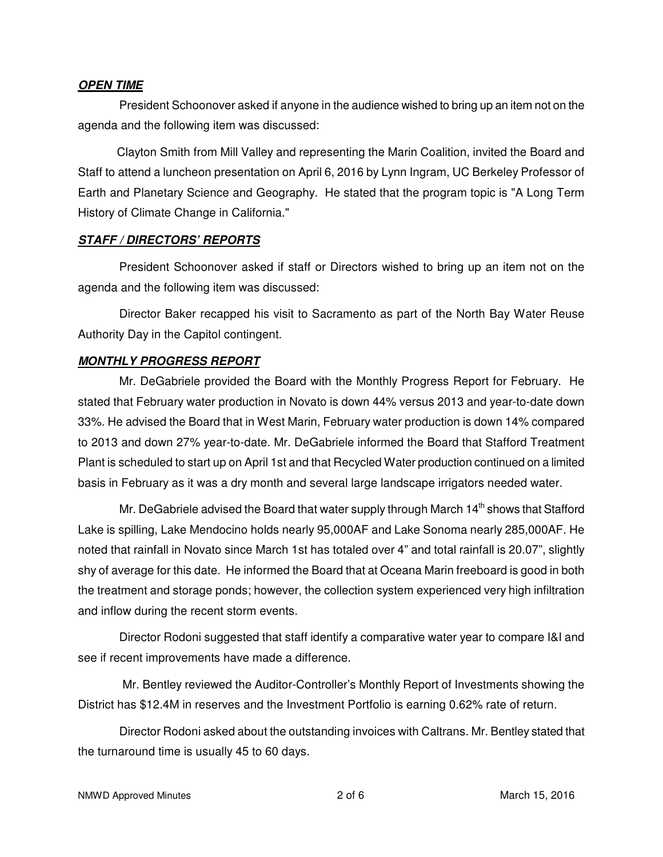#### **OPEN TIME**

President Schoonover asked if anyone in the audience wished to bring up an item not on the agenda and the following item was discussed:

Clayton Smith from Mill Valley and representing the Marin Coalition, invited the Board and Staff to attend a luncheon presentation on April 6, 2016 by Lynn Ingram, UC Berkeley Professor of Earth and Planetary Science and Geography. He stated that the program topic is "A Long Term History of Climate Change in California."

### **STAFF / DIRECTORS' REPORTS**

President Schoonover asked if staff or Directors wished to bring up an item not on the agenda and the following item was discussed:

Director Baker recapped his visit to Sacramento as part of the North Bay Water Reuse Authority Day in the Capitol contingent.

### **MONTHLY PROGRESS REPORT**

Mr. DeGabriele provided the Board with the Monthly Progress Report for February. He stated that February water production in Novato is down 44% versus 2013 and year-to-date down 33%. He advised the Board that in West Marin, February water production is down 14% compared to 2013 and down 27% year-to-date. Mr. DeGabriele informed the Board that Stafford Treatment Plant is scheduled to start up on April 1st and that Recycled Water production continued on a limited basis in February as it was a dry month and several large landscape irrigators needed water.

Mr. DeGabriele advised the Board that water supply through March  $14<sup>th</sup>$  shows that Stafford Lake is spilling, Lake Mendocino holds nearly 95,000AF and Lake Sonoma nearly 285,000AF. He noted that rainfall in Novato since March 1st has totaled over 4" and total rainfall is 20.07", slightly shy of average for this date. He informed the Board that at Oceana Marin freeboard is good in both the treatment and storage ponds; however, the collection system experienced very high infiltration and inflow during the recent storm events.

Director Rodoni suggested that staff identify a comparative water year to compare I&I and see if recent improvements have made a difference.

 Mr. Bentley reviewed the Auditor-Controller's Monthly Report of Investments showing the District has \$12.4M in reserves and the Investment Portfolio is earning 0.62% rate of return.

Director Rodoni asked about the outstanding invoices with Caltrans. Mr. Bentley stated that the turnaround time is usually 45 to 60 days.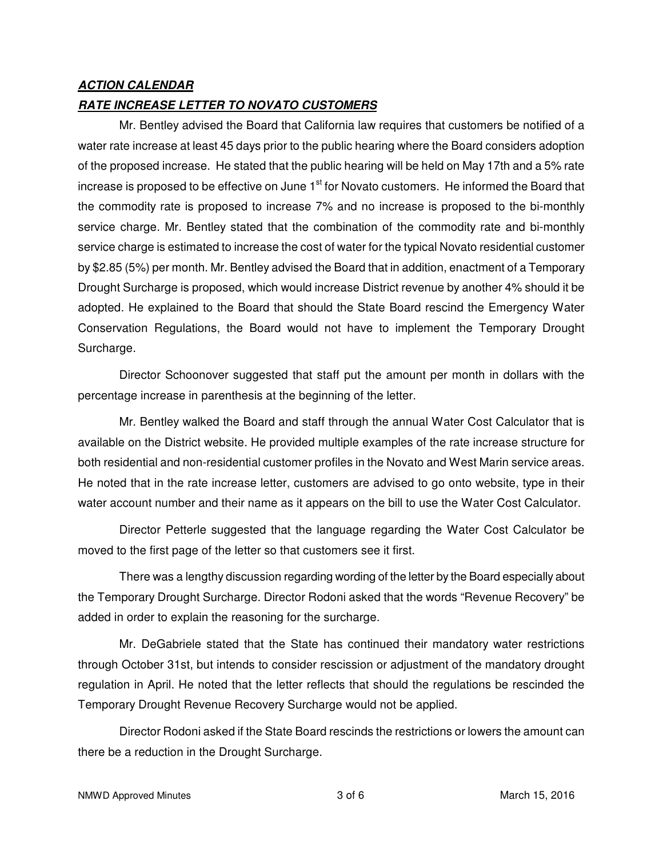### **ACTION CALENDAR**

### **RATE INCREASE LETTER TO NOVATO CUSTOMERS**

Mr. Bentley advised the Board that California law requires that customers be notified of a water rate increase at least 45 days prior to the public hearing where the Board considers adoption of the proposed increase. He stated that the public hearing will be held on May 17th and a 5% rate increase is proposed to be effective on June  $1<sup>st</sup>$  for Novato customers. He informed the Board that the commodity rate is proposed to increase 7% and no increase is proposed to the bi-monthly service charge. Mr. Bentley stated that the combination of the commodity rate and bi-monthly service charge is estimated to increase the cost of water for the typical Novato residential customer by \$2.85 (5%) per month. Mr. Bentley advised the Board that in addition, enactment of a Temporary Drought Surcharge is proposed, which would increase District revenue by another 4% should it be adopted. He explained to the Board that should the State Board rescind the Emergency Water Conservation Regulations, the Board would not have to implement the Temporary Drought Surcharge.

Director Schoonover suggested that staff put the amount per month in dollars with the percentage increase in parenthesis at the beginning of the letter.

Mr. Bentley walked the Board and staff through the annual Water Cost Calculator that is available on the District website. He provided multiple examples of the rate increase structure for both residential and non-residential customer profiles in the Novato and West Marin service areas. He noted that in the rate increase letter, customers are advised to go onto website, type in their water account number and their name as it appears on the bill to use the Water Cost Calculator.

Director Petterle suggested that the language regarding the Water Cost Calculator be moved to the first page of the letter so that customers see it first.

There was a lengthy discussion regarding wording of the letter by the Board especially about the Temporary Drought Surcharge. Director Rodoni asked that the words "Revenue Recovery" be added in order to explain the reasoning for the surcharge.

Mr. DeGabriele stated that the State has continued their mandatory water restrictions through October 31st, but intends to consider rescission or adjustment of the mandatory drought regulation in April. He noted that the letter reflects that should the regulations be rescinded the Temporary Drought Revenue Recovery Surcharge would not be applied.

Director Rodoni asked if the State Board rescinds the restrictions or lowers the amount can there be a reduction in the Drought Surcharge.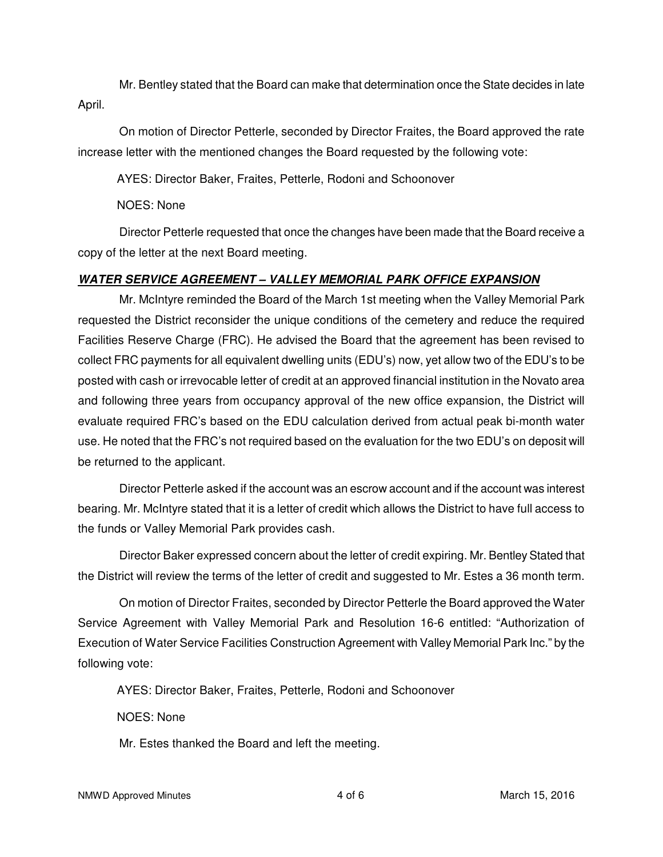Mr. Bentley stated that the Board can make that determination once the State decides in late April.

On motion of Director Petterle, seconded by Director Fraites, the Board approved the rate increase letter with the mentioned changes the Board requested by the following vote:

AYES: Director Baker, Fraites, Petterle, Rodoni and Schoonover

NOES: None

Director Petterle requested that once the changes have been made that the Board receive a copy of the letter at the next Board meeting.

# **WATER SERVICE AGREEMENT – VALLEY MEMORIAL PARK OFFICE EXPANSION**

Mr. McIntyre reminded the Board of the March 1st meeting when the Valley Memorial Park requested the District reconsider the unique conditions of the cemetery and reduce the required Facilities Reserve Charge (FRC). He advised the Board that the agreement has been revised to collect FRC payments for all equivalent dwelling units (EDU's) now, yet allow two of the EDU's to be posted with cash or irrevocable letter of credit at an approved financial institution in the Novato area and following three years from occupancy approval of the new office expansion, the District will evaluate required FRC's based on the EDU calculation derived from actual peak bi-month water use. He noted that the FRC's not required based on the evaluation for the two EDU's on deposit will be returned to the applicant.

Director Petterle asked if the account was an escrow account and if the account was interest bearing. Mr. McIntyre stated that it is a letter of credit which allows the District to have full access to the funds or Valley Memorial Park provides cash.

Director Baker expressed concern about the letter of credit expiring. Mr. Bentley Stated that the District will review the terms of the letter of credit and suggested to Mr. Estes a 36 month term.

On motion of Director Fraites, seconded by Director Petterle the Board approved the Water Service Agreement with Valley Memorial Park and Resolution 16-6 entitled: "Authorization of Execution of Water Service Facilities Construction Agreement with Valley Memorial Park Inc." by the following vote:

AYES: Director Baker, Fraites, Petterle, Rodoni and Schoonover

NOES: None

Mr. Estes thanked the Board and left the meeting.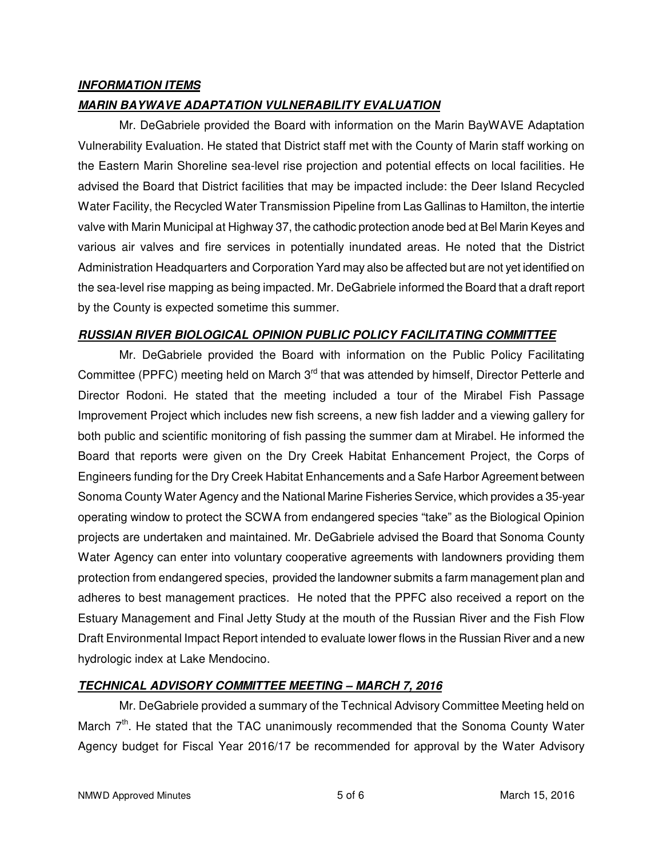## **INFORMATION ITEMS**

## **MARIN BAYWAVE ADAPTATION VULNERABILITY EVALUATION**

Mr. DeGabriele provided the Board with information on the Marin BayWAVE Adaptation Vulnerability Evaluation. He stated that District staff met with the County of Marin staff working on the Eastern Marin Shoreline sea-level rise projection and potential effects on local facilities. He advised the Board that District facilities that may be impacted include: the Deer Island Recycled Water Facility, the Recycled Water Transmission Pipeline from Las Gallinas to Hamilton, the intertie valve with Marin Municipal at Highway 37, the cathodic protection anode bed at Bel Marin Keyes and various air valves and fire services in potentially inundated areas. He noted that the District Administration Headquarters and Corporation Yard may also be affected but are not yet identified on the sea-level rise mapping as being impacted. Mr. DeGabriele informed the Board that a draft report by the County is expected sometime this summer.

### **RUSSIAN RIVER BIOLOGICAL OPINION PUBLIC POLICY FACILITATING COMMITTEE**

Mr. DeGabriele provided the Board with information on the Public Policy Facilitating Committee (PPFC) meeting held on March  $3<sup>rd</sup>$  that was attended by himself, Director Petterle and Director Rodoni. He stated that the meeting included a tour of the Mirabel Fish Passage Improvement Project which includes new fish screens, a new fish ladder and a viewing gallery for both public and scientific monitoring of fish passing the summer dam at Mirabel. He informed the Board that reports were given on the Dry Creek Habitat Enhancement Project, the Corps of Engineers funding for the Dry Creek Habitat Enhancements and a Safe Harbor Agreement between Sonoma County Water Agency and the National Marine Fisheries Service, which provides a 35-year operating window to protect the SCWA from endangered species "take" as the Biological Opinion projects are undertaken and maintained. Mr. DeGabriele advised the Board that Sonoma County Water Agency can enter into voluntary cooperative agreements with landowners providing them protection from endangered species, provided the landowner submits a farm management plan and adheres to best management practices. He noted that the PPFC also received a report on the Estuary Management and Final Jetty Study at the mouth of the Russian River and the Fish Flow Draft Environmental Impact Report intended to evaluate lower flows in the Russian River and a new hydrologic index at Lake Mendocino.

# **TECHNICAL ADVISORY COMMITTEE MEETING – MARCH 7, 2016**

Mr. DeGabriele provided a summary of the Technical Advisory Committee Meeting held on March 7<sup>th</sup>. He stated that the TAC unanimously recommended that the Sonoma County Water Agency budget for Fiscal Year 2016/17 be recommended for approval by the Water Advisory